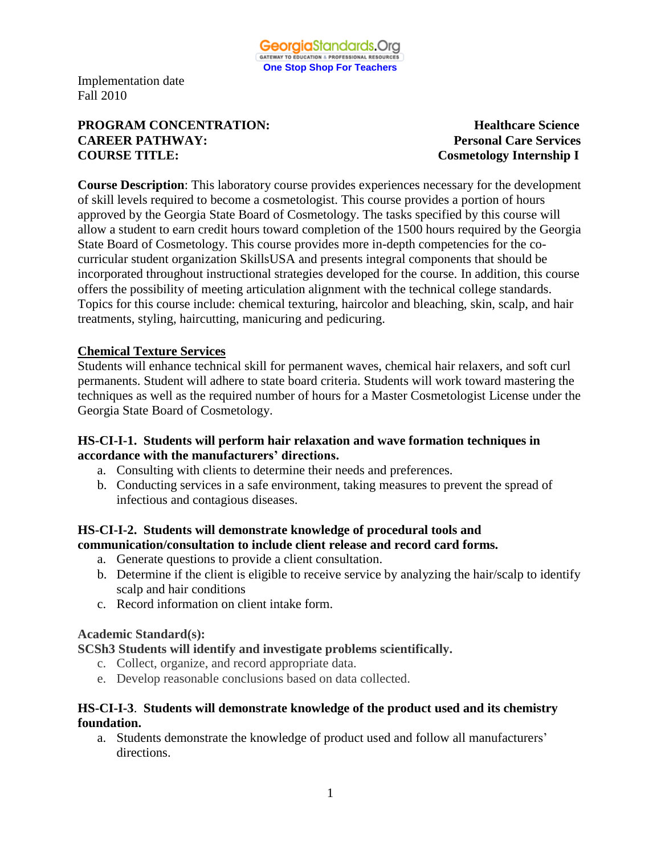

# **PROGRAM CONCENTRATION:** Healthcare Science **CAREER PATHWAY:** Personal Care Services<br> **COURSE TITLE:** COURSE COURSE TITLE:

**Cosmetology Internship I** 

**Course Description**: This laboratory course provides experiences necessary for the development of skill levels required to become a cosmetologist. This course provides a portion of hours approved by the Georgia State Board of Cosmetology. The tasks specified by this course will allow a student to earn credit hours toward completion of the 1500 hours required by the Georgia State Board of Cosmetology. This course provides more in-depth competencies for the cocurricular student organization SkillsUSA and presents integral components that should be incorporated throughout instructional strategies developed for the course. In addition, this course offers the possibility of meeting articulation alignment with the technical college standards. Topics for this course include: chemical texturing, haircolor and bleaching, skin, scalp, and hair treatments, styling, haircutting, manicuring and pedicuring.

## **Chemical Texture Services**

Students will enhance technical skill for permanent waves, chemical hair relaxers, and soft curl permanents. Student will adhere to state board criteria. Students will work toward mastering the techniques as well as the required number of hours for a Master Cosmetologist License under the Georgia State Board of Cosmetology.

#### **HS-CI-I-1. Students will perform hair relaxation and wave formation techniques in accordance with the manufacturers' directions.**

- a. Consulting with clients to determine their needs and preferences.
- b. Conducting services in a safe environment, taking measures to prevent the spread of infectious and contagious diseases.

## **HS-CI-I-2. Students will demonstrate knowledge of procedural tools and communication/consultation to include client release and record card forms.**

- a. Generate questions to provide a client consultation.
- b. Determine if the client is eligible to receive service by analyzing the hair/scalp to identify scalp and hair conditions
- c. Record information on client intake form.

#### **Academic Standard(s):**

## **SCSh3 Students will identify and investigate problems scientifically.**

- c. Collect, organize, and record appropriate data.
- e. Develop reasonable conclusions based on data collected.

## **HS-CI-I-3**. **Students will demonstrate knowledge of the product used and its chemistry foundation.**

a. Students demonstrate the knowledge of product used and follow all manufacturers' directions.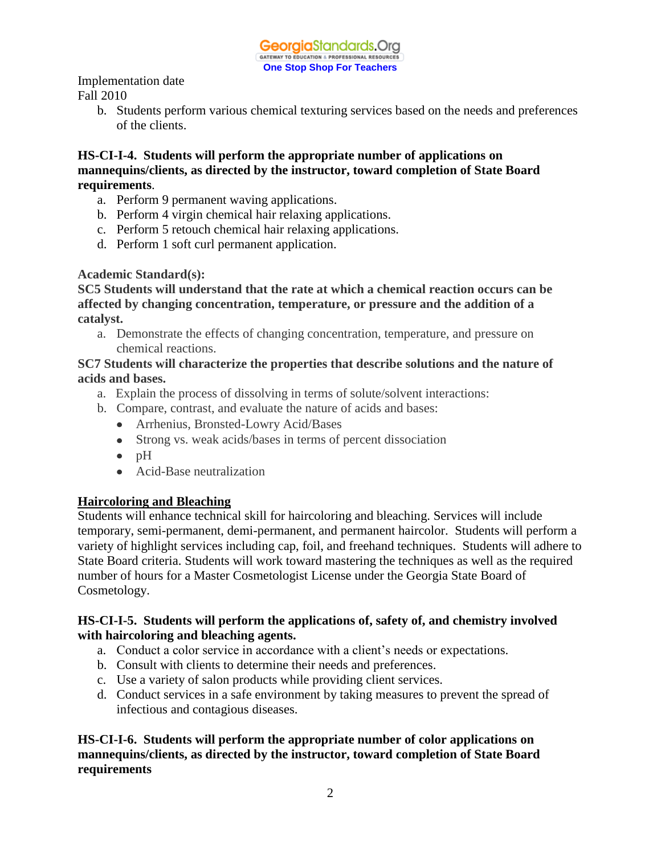> b. Students perform various chemical texturing services based on the needs and preferences of the clients.

## **HS-CI-I-4. Students will perform the appropriate number of applications on mannequins/clients, as directed by the instructor, toward completion of State Board requirements**.

- a. Perform 9 permanent waving applications.
- b. Perform 4 virgin chemical hair relaxing applications.
- c. Perform 5 retouch chemical hair relaxing applications.
- d. Perform 1 soft curl permanent application.

## **Academic Standard(s):**

**SC5 Students will understand that the rate at which a chemical reaction occurs can be affected by changing concentration, temperature, or pressure and the addition of a catalyst.**

a. Demonstrate the effects of changing concentration, temperature, and pressure on chemical reactions.

## **SC7 Students will characterize the properties that describe solutions and the nature of acids and bases.**

- a. Explain the process of dissolving in terms of solute/solvent interactions:
- b. Compare, contrast, and evaluate the nature of acids and bases:
	- Arrhenius, Bronsted-Lowry Acid/Bases
	- Strong vs. weak acids/bases in terms of percent dissociation
	- $\bullet$  pH
	- Acid-Base neutralization

## **Haircoloring and Bleaching**

Students will enhance technical skill for haircoloring and bleaching. Services will include temporary, semi-permanent, demi-permanent, and permanent haircolor. Students will perform a variety of highlight services including cap, foil, and freehand techniques. Students will adhere to State Board criteria. Students will work toward mastering the techniques as well as the required number of hours for a Master Cosmetologist License under the Georgia State Board of Cosmetology.

## **HS-CI-I-5. Students will perform the applications of, safety of, and chemistry involved with haircoloring and bleaching agents.**

- a. Conduct a color service in accordance with a client's needs or expectations.
- b. Consult with clients to determine their needs and preferences.
- c. Use a variety of salon products while providing client services.
- d. Conduct services in a safe environment by taking measures to prevent the spread of infectious and contagious diseases.

**HS-CI-I-6. Students will perform the appropriate number of color applications on mannequins/clients, as directed by the instructor, toward completion of State Board requirements**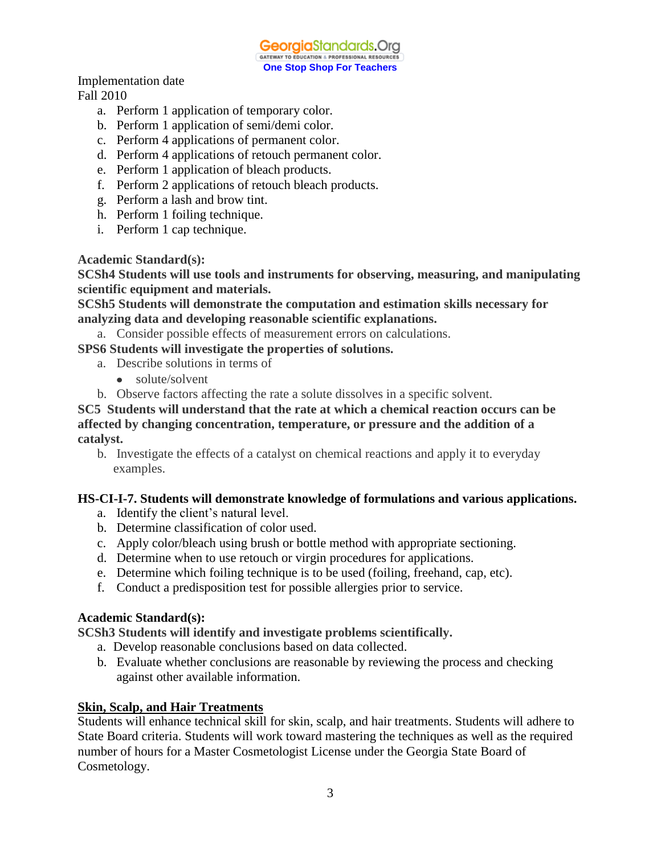GeorgiaStandards.Org GATEWAY TO EDUCATION & PROFESSIONAL RESOURCE **One Stop Shop For Teachers**

Implementation date Fall 2010

- a. Perform 1 application of temporary color.
- b. Perform 1 application of semi/demi color.
- c. Perform 4 applications of permanent color.
- d. Perform 4 applications of retouch permanent color.
- e. Perform 1 application of bleach products.
- f. Perform 2 applications of retouch bleach products.
- g. Perform a lash and brow tint.
- h. Perform 1 foiling technique.
- i. Perform 1 cap technique.

**Academic Standard(s):**

**SCSh4 Students will use tools and instruments for observing, measuring, and manipulating scientific equipment and materials.**

**SCSh5 Students will demonstrate the computation and estimation skills necessary for analyzing data and developing reasonable scientific explanations.**

a. Consider possible effects of measurement errors on calculations.

**SPS6 Students will investigate the properties of solutions.**

- a. Describe solutions in terms of
	- $\bullet$ solute/solvent
- b. Observe factors affecting the rate a solute dissolves in a specific solvent.

**SC5 Students will understand that the rate at which a chemical reaction occurs can be affected by changing concentration, temperature, or pressure and the addition of a catalyst.**

b. Investigate the effects of a catalyst on chemical reactions and apply it to everyday examples.

#### **HS-CI-I-7. Students will demonstrate knowledge of formulations and various applications.**

- a. Identify the client's natural level.
- b. Determine classification of color used.
- c. Apply color/bleach using brush or bottle method with appropriate sectioning.
- d. Determine when to use retouch or virgin procedures for applications.
- e. Determine which foiling technique is to be used (foiling, freehand, cap, etc).
- f. Conduct a predisposition test for possible allergies prior to service.

#### **Academic Standard(s):**

**SCSh3 Students will identify and investigate problems scientifically.**

- a. Develop reasonable conclusions based on data collected.
- b. Evaluate whether conclusions are reasonable by reviewing the process and checking against other available information.

## **Skin, Scalp, and Hair Treatments**

Students will enhance technical skill for skin, scalp, and hair treatments. Students will adhere to State Board criteria. Students will work toward mastering the techniques as well as the required number of hours for a Master Cosmetologist License under the Georgia State Board of Cosmetology.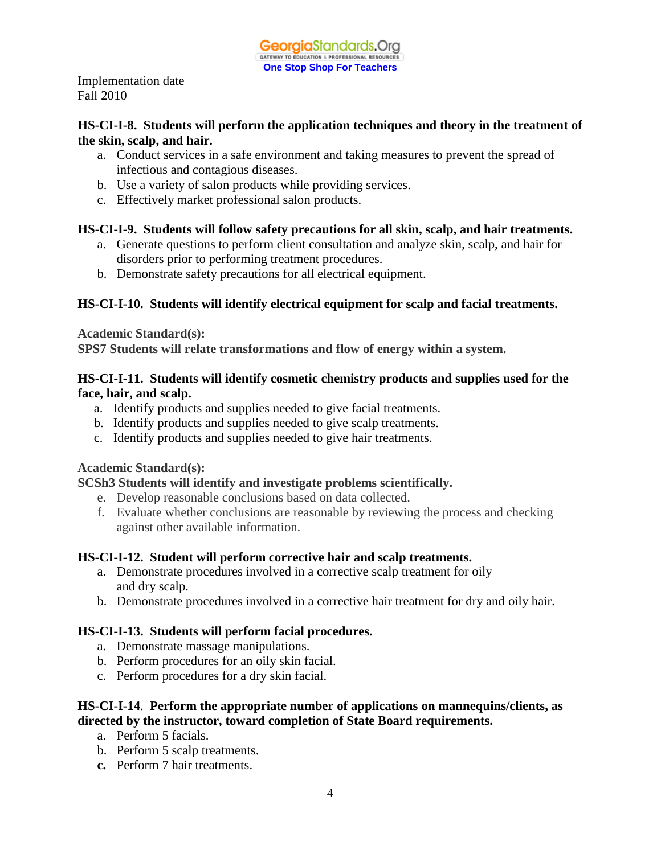## **HS-CI-I-8. Students will perform the application techniques and theory in the treatment of the skin, scalp, and hair.**

- a. Conduct services in a safe environment and taking measures to prevent the spread of infectious and contagious diseases.
- b. Use a variety of salon products while providing services.
- c. Effectively market professional salon products.

## **HS-CI-I-9. Students will follow safety precautions for all skin, scalp, and hair treatments.**

- a. Generate questions to perform client consultation and analyze skin, scalp, and hair for disorders prior to performing treatment procedures.
- b. Demonstrate safety precautions for all electrical equipment.

## **HS-CI-I-10. Students will identify electrical equipment for scalp and facial treatments.**

**Academic Standard(s):**

**SPS7 Students will relate transformations and flow of energy within a system.**

## **HS-CI-I-11. Students will identify cosmetic chemistry products and supplies used for the face, hair, and scalp.**

- a. Identify products and supplies needed to give facial treatments.
- b. Identify products and supplies needed to give scalp treatments.
- c. Identify products and supplies needed to give hair treatments.

## **Academic Standard(s):**

## **SCSh3 Students will identify and investigate problems scientifically.**

- e. Develop reasonable conclusions based on data collected.
- f. Evaluate whether conclusions are reasonable by reviewing the process and checking against other available information.

## **HS-CI-I-12. Student will perform corrective hair and scalp treatments.**

- a. Demonstrate procedures involved in a corrective scalp treatment for oily and dry scalp.
- b. Demonstrate procedures involved in a corrective hair treatment for dry and oily hair.

## **HS-CI-I-13. Students will perform facial procedures.**

- a. Demonstrate massage manipulations.
- b. Perform procedures for an oily skin facial.
- c. Perform procedures for a dry skin facial.

## **HS-CI-I-14**. **Perform the appropriate number of applications on mannequins/clients, as directed by the instructor, toward completion of State Board requirements.**

- a. Perform 5 facials.
- b. Perform 5 scalp treatments.
- **c.** Perform 7 hair treatments.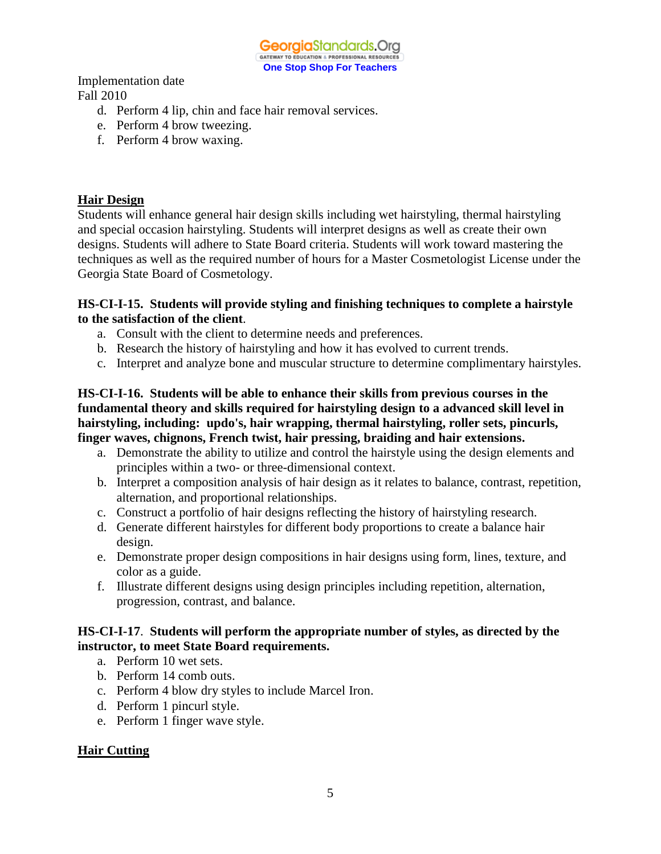

- d. Perform 4 lip, chin and face hair removal services.
- e. Perform 4 brow tweezing.
- f. Perform 4 brow waxing.

### **Hair Design**

Students will enhance general hair design skills including wet hairstyling, thermal hairstyling and special occasion hairstyling. Students will interpret designs as well as create their own designs. Students will adhere to State Board criteria. Students will work toward mastering the techniques as well as the required number of hours for a Master Cosmetologist License under the Georgia State Board of Cosmetology.

#### **HS-CI-I-15. Students will provide styling and finishing techniques to complete a hairstyle to the satisfaction of the client**.

- a. Consult with the client to determine needs and preferences.
- b. Research the history of hairstyling and how it has evolved to current trends.
- c. Interpret and analyze bone and muscular structure to determine complimentary hairstyles.

## **HS-CI-I-16. Students will be able to enhance their skills from previous courses in the fundamental theory and skills required for hairstyling design to a advanced skill level in hairstyling, including: updo's, hair wrapping, thermal hairstyling, roller sets, pincurls, finger waves, chignons, French twist, hair pressing, braiding and hair extensions.**

- a. Demonstrate the ability to utilize and control the hairstyle using the design elements and principles within a two- or three-dimensional context.
- b. Interpret a composition analysis of hair design as it relates to balance, contrast, repetition, alternation, and proportional relationships.
- c. Construct a portfolio of hair designs reflecting the history of hairstyling research.
- d. Generate different hairstyles for different body proportions to create a balance hair design.
- e. Demonstrate proper design compositions in hair designs using form, lines, texture, and color as a guide.
- f. Illustrate different designs using design principles including repetition, alternation, progression, contrast, and balance.

## **HS-CI-I-17**. **Students will perform the appropriate number of styles, as directed by the instructor, to meet State Board requirements.**

- a. Perform 10 wet sets.
- b. Perform 14 comb outs.
- c. Perform 4 blow dry styles to include Marcel Iron.
- d. Perform 1 pincurl style.
- e. Perform 1 finger wave style.

#### **Hair Cutting**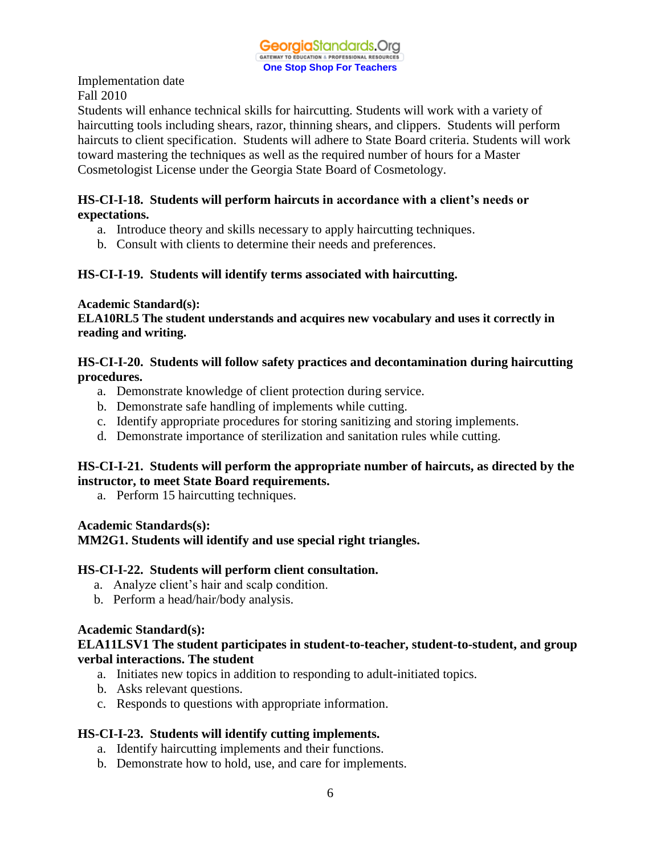Students will enhance technical skills for haircutting. Students will work with a variety of haircutting tools including shears, razor, thinning shears, and clippers. Students will perform haircuts to client specification. Students will adhere to State Board criteria. Students will work toward mastering the techniques as well as the required number of hours for a Master Cosmetologist License under the Georgia State Board of Cosmetology.

## **HS-CI-I-18. Students will perform haircuts in accordance with a client's needs or expectations.**

- a. Introduce theory and skills necessary to apply haircutting techniques.
- b. Consult with clients to determine their needs and preferences.

## **HS-CI-I-19. Students will identify terms associated with haircutting.**

#### **Academic Standard(s):**

**ELA10RL5 The student understands and acquires new vocabulary and uses it correctly in reading and writing.** 

### **HS-CI-I-20. Students will follow safety practices and decontamination during haircutting procedures.**

- a. Demonstrate knowledge of client protection during service.
- b. Demonstrate safe handling of implements while cutting.
- c. Identify appropriate procedures for storing sanitizing and storing implements.
- d. Demonstrate importance of sterilization and sanitation rules while cutting.

## **HS-CI-I-21. Students will perform the appropriate number of haircuts, as directed by the instructor, to meet State Board requirements.**

a. Perform 15 haircutting techniques.

#### **Academic Standards(s):**

#### **MM2G1. Students will identify and use special right triangles.**

#### **HS-CI-I-22. Students will perform client consultation.**

- a. Analyze client's hair and scalp condition.
- b. Perform a head/hair/body analysis.

#### **Academic Standard(s):**

## **ELA11LSV1 The student participates in student-to-teacher, student-to-student, and group verbal interactions. The student**

- a. Initiates new topics in addition to responding to adult-initiated topics.
- b. Asks relevant questions.
- c. Responds to questions with appropriate information.

## **HS-CI-I-23. Students will identify cutting implements.**

- a. Identify haircutting implements and their functions.
- b. Demonstrate how to hold, use, and care for implements.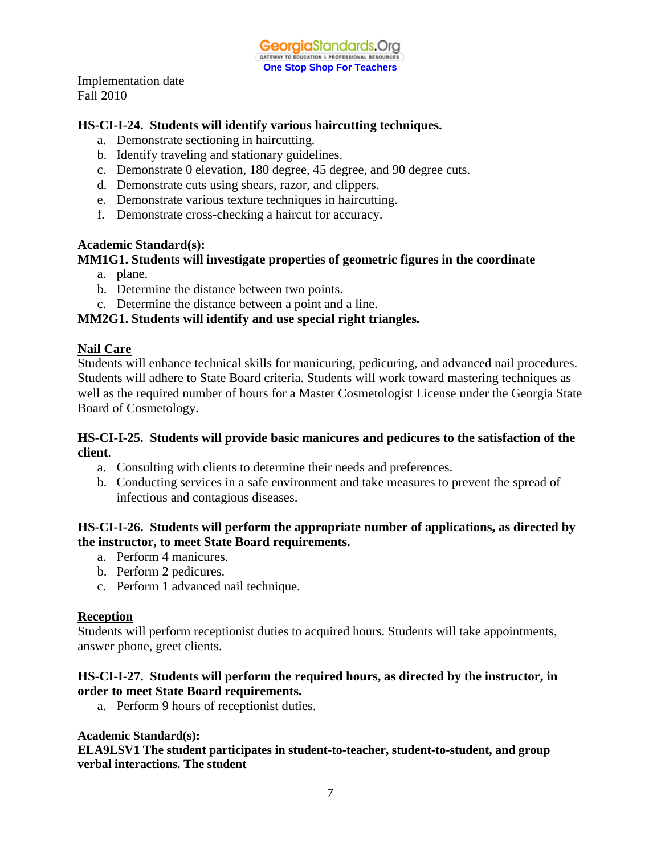## **HS-CI-I-24. Students will identify various haircutting techniques.**

- a. Demonstrate sectioning in haircutting.
- b. Identify traveling and stationary guidelines.
- c. Demonstrate 0 elevation, 180 degree, 45 degree, and 90 degree cuts.
- d. Demonstrate cuts using shears, razor, and clippers.
- e. Demonstrate various texture techniques in haircutting.
- f. Demonstrate cross-checking a haircut for accuracy.

#### **Academic Standard(s):**

## **MM1G1. Students will investigate properties of geometric figures in the coordinate**

- a. plane.
- b. Determine the distance between two points.
- c. Determine the distance between a point and a line.

## **MM2G1. Students will identify and use special right triangles***.*

#### **Nail Care**

Students will enhance technical skills for manicuring, pedicuring, and advanced nail procedures. Students will adhere to State Board criteria. Students will work toward mastering techniques as well as the required number of hours for a Master Cosmetologist License under the Georgia State Board of Cosmetology.

#### **HS-CI-I-25. Students will provide basic manicures and pedicures to the satisfaction of the client**.

- a. Consulting with clients to determine their needs and preferences.
- b. Conducting services in a safe environment and take measures to prevent the spread of infectious and contagious diseases.

## **HS-CI-I-26. Students will perform the appropriate number of applications, as directed by the instructor, to meet State Board requirements.**

- a. Perform 4 manicures.
- b. Perform 2 pedicures.
- c. Perform 1 advanced nail technique.

#### **Reception**

Students will perform receptionist duties to acquired hours. Students will take appointments, answer phone, greet clients.

## **HS-CI-I-27. Students will perform the required hours, as directed by the instructor, in order to meet State Board requirements.**

a. Perform 9 hours of receptionist duties.

#### **Academic Standard(s):**

**ELA9LSV1 The student participates in student-to-teacher, student-to-student, and group verbal interactions. The student**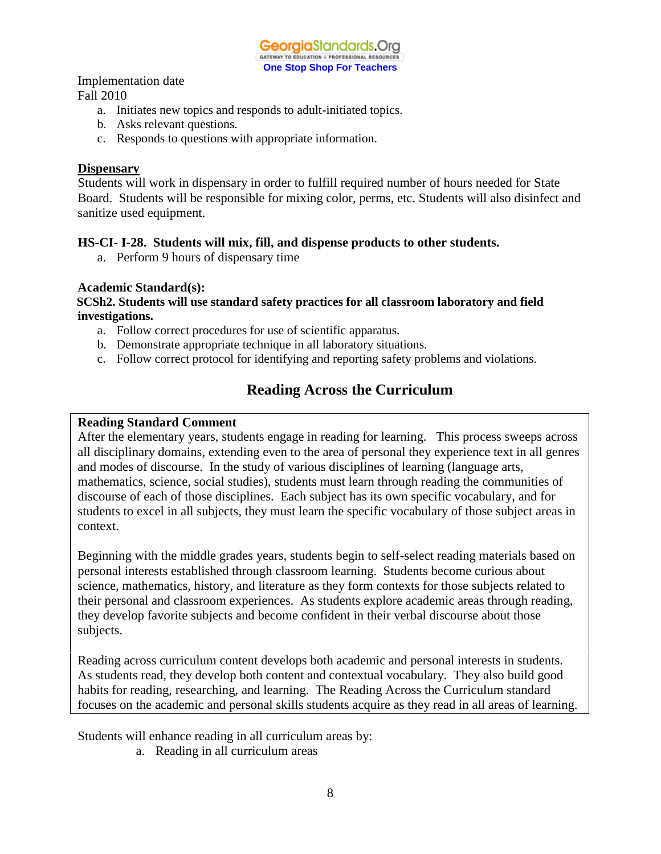

Implementation date

Fall 2010

- a. Initiates new topics and responds to adult-initiated topics.
- b. Asks relevant questions.
- c. Responds to questions with appropriate information.

#### **Dispensary**

Students will work in dispensary in order to fulfill required number of hours needed for State Board. Students will be responsible for mixing color, perms, etc. Students will also disinfect and sanitize used equipment.

## **HS-CI- I-28. Students will mix, fill, and dispense products to other students.**

a. Perform 9 hours of dispensary time

## **Academic Standard(s):**

**SCSh2. Students will use standard safety practices for all classroom laboratory and field investigations.** 

- a. Follow correct procedures for use of scientific apparatus.
- b. Demonstrate appropriate technique in all laboratory situations.
- c. Follow correct protocol for identifying and reporting safety problems and violations.

## **Reading Across the Curriculum**

### **Reading Standard Comment**

After the elementary years, students engage in reading for learning. This process sweeps across all disciplinary domains, extending even to the area of personal they experience text in all genres and modes of discourse. In the study of various disciplines of learning (language arts, mathematics, science, social studies), students must learn through reading the communities of discourse of each of those disciplines. Each subject has its own specific vocabulary, and for students to excel in all subjects, they must learn the specific vocabulary of those subject areas in context.

Beginning with the middle grades years, students begin to self-select reading materials based on personal interests established through classroom learning. Students become curious about science, mathematics, history, and literature as they form contexts for those subjects related to their personal and classroom experiences. As students explore academic areas through reading, they develop favorite subjects and become confident in their verbal discourse about those subjects.

Reading across curriculum content develops both academic and personal interests in students. As students read, they develop both content and contextual vocabulary. They also build good habits for reading, researching, and learning. The Reading Across the Curriculum standard focuses on the academic and personal skills students acquire as they read in all areas of learning.

Students will enhance reading in all curriculum areas by:

a. Reading in all curriculum areas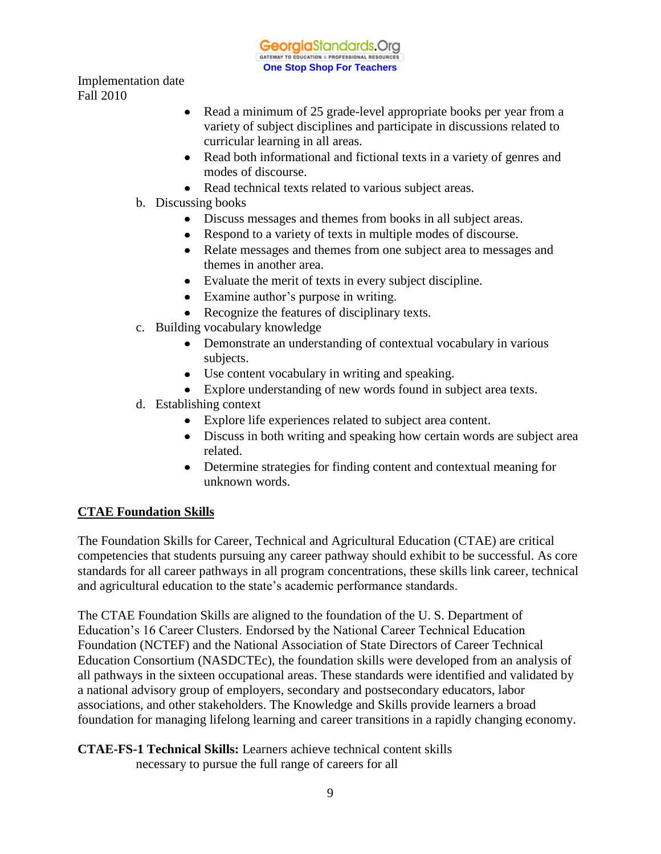GeorgiaStandards.Org GATEWAY TO EDUCATION & PROFESSIONAL RESOURCE **One Stop Shop For Teachers**

Implementation date Fall 2010

- Read a minimum of 25 grade-level appropriate books per year from a  $\bullet$ variety of subject disciplines and participate in discussions related to curricular learning in all areas.
- Read both informational and fictional texts in a variety of genres and modes of discourse.
- Read technical texts related to various subject areas.
- b. Discussing books
	- Discuss messages and themes from books in all subject areas.
	- Respond to a variety of texts in multiple modes of discourse.
	- Relate messages and themes from one subject area to messages and themes in another area.
	- Evaluate the merit of texts in every subject discipline.
	- Examine author's purpose in writing.
	- Recognize the features of disciplinary texts.
- c. Building vocabulary knowledge
	- Demonstrate an understanding of contextual vocabulary in various subjects.
	- Use content vocabulary in writing and speaking.
	- Explore understanding of new words found in subject area texts.
- d. Establishing context
	- Explore life experiences related to subject area content.
	- Discuss in both writing and speaking how certain words are subject area related.
	- Determine strategies for finding content and contextual meaning for unknown words.

## **CTAE Foundation Skills**

The Foundation Skills for Career, Technical and Agricultural Education (CTAE) are critical competencies that students pursuing any career pathway should exhibit to be successful. As core standards for all career pathways in all program concentrations, these skills link career, technical and agricultural education to the state's academic performance standards.

The CTAE Foundation Skills are aligned to the foundation of the U. S. Department of Education's 16 Career Clusters. Endorsed by the National Career Technical Education Foundation (NCTEF) and the National Association of State Directors of Career Technical Education Consortium (NASDCTEc), the foundation skills were developed from an analysis of all pathways in the sixteen occupational areas. These standards were identified and validated by a national advisory group of employers, secondary and postsecondary educators, labor associations, and other stakeholders. The Knowledge and Skills provide learners a broad foundation for managing lifelong learning and career transitions in a rapidly changing economy.

**CTAE-FS-1 Technical Skills:** Learners achieve technical content skills necessary to pursue the full range of careers for all